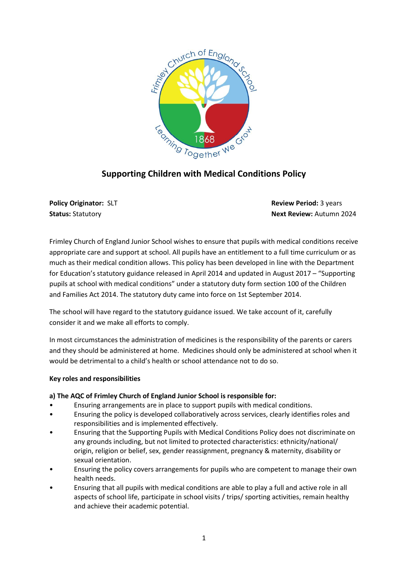

# **Supporting Children with Medical Conditions Policy**

**Policy Originator: SLT Review Period: 3 years Review Period: 3 years Review Period: 3 years Status:** Statutory **Next Review:** Autumn 2024

Frimley Church of England Junior School wishes to ensure that pupils with medical conditions receive appropriate care and support at school. All pupils have an entitlement to a full time curriculum or as much as their medical condition allows. This policy has been developed in line with the Department for Education's statutory guidance released in April 2014 and updated in August 2017 – "Supporting pupils at school with medical conditions" under a statutory duty form section 100 of the Children and Families Act 2014. The statutory duty came into force on 1st September 2014.

The school will have regard to the statutory guidance issued. We take account of it, carefully consider it and we make all efforts to comply.

In most circumstances the administration of medicines is the responsibility of the parents or carers and they should be administered at home. Medicines should only be administered at school when it would be detrimental to a child's health or school attendance not to do so.

# **Key roles and responsibilities**

# **a) The AQC of Frimley Church of England Junior School is responsible for:**

- Ensuring arrangements are in place to support pupils with medical conditions.
- Ensuring the policy is developed collaboratively across services, clearly identifies roles and responsibilities and is implemented effectively.
- Ensuring that the Supporting Pupils with Medical Conditions Policy does not discriminate on any grounds including, but not limited to protected characteristics: ethnicity/national/ origin, religion or belief, sex, gender reassignment, pregnancy & maternity, disability or sexual orientation.
- Ensuring the policy covers arrangements for pupils who are competent to manage their own health needs.
- Ensuring that all pupils with medical conditions are able to play a full and active role in all aspects of school life, participate in school visits / trips/ sporting activities, remain healthy and achieve their academic potential.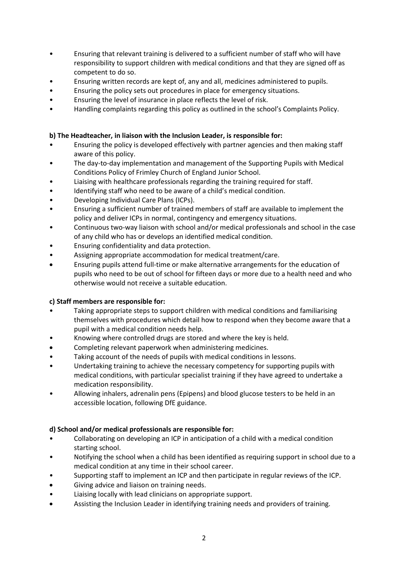- Ensuring that relevant training is delivered to a sufficient number of staff who will have responsibility to support children with medical conditions and that they are signed off as competent to do so.
- Ensuring written records are kept of, any and all, medicines administered to pupils.
- Ensuring the policy sets out procedures in place for emergency situations.
- Ensuring the level of insurance in place reflects the level of risk.
- Handling complaints regarding this policy as outlined in the school's Complaints Policy.

## **b) The Headteacher, in liaison with the Inclusion Leader, is responsible for:**

- Ensuring the policy is developed effectively with partner agencies and then making staff aware of this policy.
- The day-to-day implementation and management of the Supporting Pupils with Medical Conditions Policy of Frimley Church of England Junior School.
- Liaising with healthcare professionals regarding the training required for staff.
- Identifying staff who need to be aware of a child's medical condition.
- Developing Individual Care Plans (ICPs).
- Ensuring a sufficient number of trained members of staff are available to implement the policy and deliver ICPs in normal, contingency and emergency situations.
- Continuous two-way liaison with school and/or medical professionals and school in the case of any child who has or develops an identified medical condition.
- Ensuring confidentiality and data protection.
- Assigning appropriate accommodation for medical treatment/care.
- Ensuring pupils attend full-time or make alternative arrangements for the education of pupils who need to be out of school for fifteen days or more due to a health need and who otherwise would not receive a suitable education.

# **c) Staff members are responsible for:**

- Taking appropriate steps to support children with medical conditions and familiarising themselves with procedures which detail how to respond when they become aware that a pupil with a medical condition needs help.
- Knowing where controlled drugs are stored and where the key is held.
- Completing relevant paperwork when administering medicines.
- Taking account of the needs of pupils with medical conditions in lessons.
- Undertaking training to achieve the necessary competency for supporting pupils with medical conditions, with particular specialist training if they have agreed to undertake a medication responsibility.
- Allowing inhalers, adrenalin pens (Epipens) and blood glucose testers to be held in an accessible location, following DfE guidance.

# **d) School and/or medical professionals are responsible for:**

- Collaborating on developing an ICP in anticipation of a child with a medical condition starting school.
- Notifying the school when a child has been identified as requiring support in school due to a medical condition at any time in their school career.
- Supporting staff to implement an ICP and then participate in regular reviews of the ICP.
- Giving advice and liaison on training needs.
- Liaising locally with lead clinicians on appropriate support.
- Assisting the Inclusion Leader in identifying training needs and providers of training.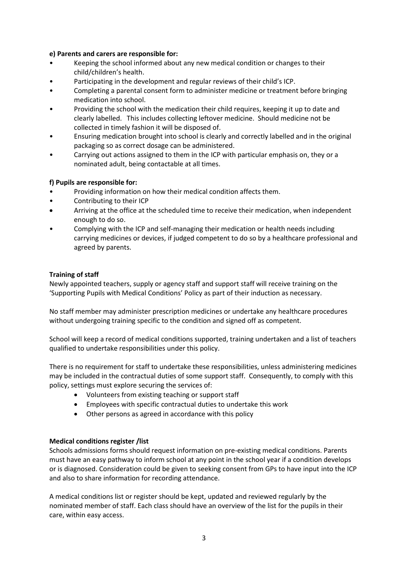## **e) Parents and carers are responsible for:**

- Keeping the school informed about any new medical condition or changes to their child/children's health.
- Participating in the development and regular reviews of their child's ICP.
- Completing a parental consent form to administer medicine or treatment before bringing medication into school.
- Providing the school with the medication their child requires, keeping it up to date and clearly labelled. This includes collecting leftover medicine. Should medicine not be collected in timely fashion it will be disposed of.
- Ensuring medication brought into school is clearly and correctly labelled and in the original packaging so as correct dosage can be administered.
- Carrying out actions assigned to them in the ICP with particular emphasis on, they or a nominated adult, being contactable at all times.

## **f) Pupils are responsible for:**

- Providing information on how their medical condition affects them.
- Contributing to their ICP
- Arriving at the office at the scheduled time to receive their medication, when independent enough to do so.
- Complying with the ICP and self-managing their medication or health needs including carrying medicines or devices, if judged competent to do so by a healthcare professional and agreed by parents.

## **Training of staff**

Newly appointed teachers, supply or agency staff and support staff will receive training on the 'Supporting Pupils with Medical Conditions' Policy as part of their induction as necessary.

No staff member may administer prescription medicines or undertake any healthcare procedures without undergoing training specific to the condition and signed off as competent.

School will keep a record of medical conditions supported, training undertaken and a list of teachers qualified to undertake responsibilities under this policy.

There is no requirement for staff to undertake these responsibilities, unless administering medicines may be included in the contractual duties of some support staff. Consequently, to comply with this policy, settings must explore securing the services of:

- Volunteers from existing teaching or support staff
- Employees with specific contractual duties to undertake this work
- Other persons as agreed in accordance with this policy

### **Medical conditions register /list**

Schools admissions forms should request information on pre-existing medical conditions. Parents must have an easy pathway to inform school at any point in the school year if a condition develops or is diagnosed. Consideration could be given to seeking consent from GPs to have input into the ICP and also to share information for recording attendance.

A medical conditions list or register should be kept, updated and reviewed regularly by the nominated member of staff. Each class should have an overview of the list for the pupils in their care, within easy access.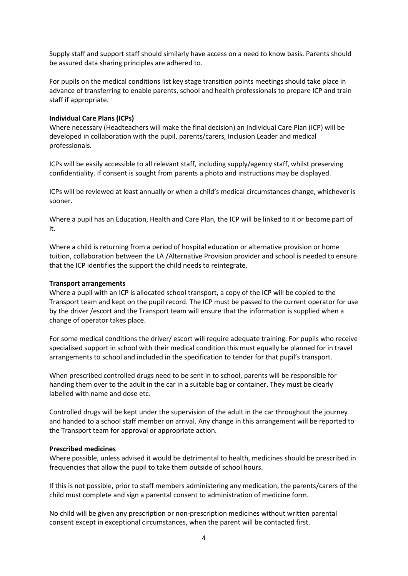Supply staff and support staff should similarly have access on a need to know basis. Parents should be assured data sharing principles are adhered to.

For pupils on the medical conditions list key stage transition points meetings should take place in advance of transferring to enable parents, school and health professionals to prepare ICP and train staff if appropriate.

### **Individual Care Plans (ICPs)**

Where necessary (Headteachers will make the final decision) an Individual Care Plan (ICP) will be developed in collaboration with the pupil, parents/carers, Inclusion Leader and medical professionals.

ICPs will be easily accessible to all relevant staff, including supply/agency staff, whilst preserving confidentiality. If consent is sought from parents a photo and instructions may be displayed.

ICPs will be reviewed at least annually or when a child's medical circumstances change, whichever is sooner.

Where a pupil has an Education, Health and Care Plan, the ICP will be linked to it or become part of it.

Where a child is returning from a period of hospital education or alternative provision or home tuition, collaboration between the LA /Alternative Provision provider and school is needed to ensure that the ICP identifies the support the child needs to reintegrate.

#### **Transport arrangements**

Where a pupil with an ICP is allocated school transport, a copy of the ICP will be copied to the Transport team and kept on the pupil record. The ICP must be passed to the current operator for use by the driver /escort and the Transport team will ensure that the information is supplied when a change of operator takes place.

For some medical conditions the driver/ escort will require adequate training. For pupils who receive specialised support in school with their medical condition this must equally be planned for in travel arrangements to school and included in the specification to tender for that pupil's transport.

When prescribed controlled drugs need to be sent in to school, parents will be responsible for handing them over to the adult in the car in a suitable bag or container. They must be clearly labelled with name and dose etc.

Controlled drugs will be kept under the supervision of the adult in the car throughout the journey and handed to a school staff member on arrival. Any change in this arrangement will be reported to the Transport team for approval or appropriate action.

#### **Prescribed medicines**

Where possible, unless advised it would be detrimental to health, medicines should be prescribed in frequencies that allow the pupil to take them outside of school hours.

If this is not possible, prior to staff members administering any medication, the parents/carers of the child must complete and sign a parental consent to administration of medicine form.

No child will be given any prescription or non-prescription medicines without written parental consent except in exceptional circumstances, when the parent will be contacted first.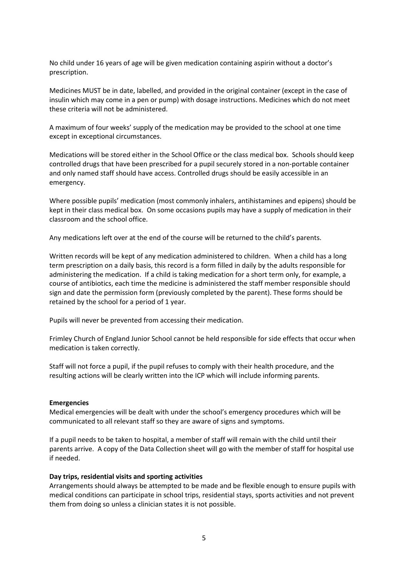No child under 16 years of age will be given medication containing aspirin without a doctor's prescription.

Medicines MUST be in date, labelled, and provided in the original container (except in the case of insulin which may come in a pen or pump) with dosage instructions. Medicines which do not meet these criteria will not be administered.

A maximum of four weeks' supply of the medication may be provided to the school at one time except in exceptional circumstances.

Medications will be stored either in the School Office or the class medical box. Schools should keep controlled drugs that have been prescribed for a pupil securely stored in a non-portable container and only named staff should have access. Controlled drugs should be easily accessible in an emergency.

Where possible pupils' medication (most commonly inhalers, antihistamines and epipens) should be kept in their class medical box. On some occasions pupils may have a supply of medication in their classroom and the school office.

Any medications left over at the end of the course will be returned to the child's parents.

Written records will be kept of any medication administered to children. When a child has a long term prescription on a daily basis, this record is a form filled in daily by the adults responsible for administering the medication. If a child is taking medication for a short term only, for example, a course of antibiotics, each time the medicine is administered the staff member responsible should sign and date the permission form (previously completed by the parent). These forms should be retained by the school for a period of 1 year.

Pupils will never be prevented from accessing their medication.

Frimley Church of England Junior School cannot be held responsible for side effects that occur when medication is taken correctly.

Staff will not force a pupil, if the pupil refuses to comply with their health procedure, and the resulting actions will be clearly written into the ICP which will include informing parents.

#### **Emergencies**

Medical emergencies will be dealt with under the school's emergency procedures which will be communicated to all relevant staff so they are aware of signs and symptoms.

If a pupil needs to be taken to hospital, a member of staff will remain with the child until their parents arrive. A copy of the Data Collection sheet will go with the member of staff for hospital use if needed.

#### **Day trips, residential visits and sporting activities**

Arrangements should always be attempted to be made and be flexible enough to ensure pupils with medical conditions can participate in school trips, residential stays, sports activities and not prevent them from doing so unless a clinician states it is not possible.